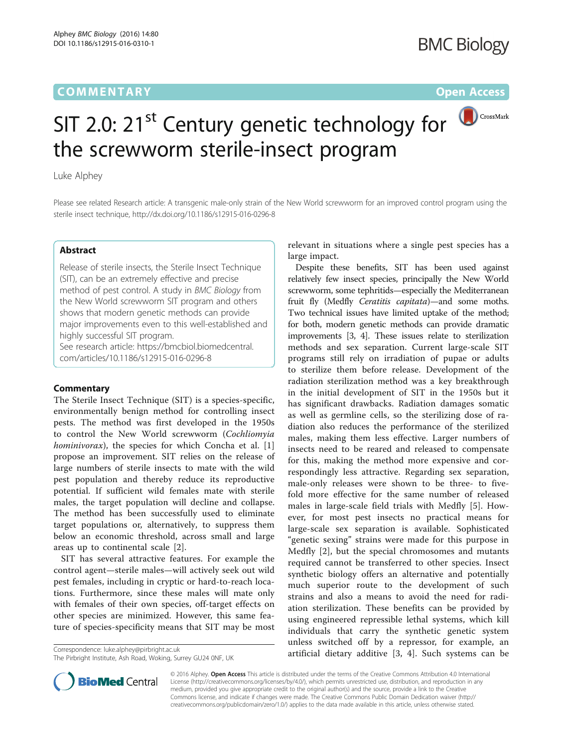

# SIT 2.0: 21<sup>st</sup> Century genetic technology for **D**CrossMark the screwworm sterile-insect program

Luke Alphey

Please see related Research article: A transgenic male-only strain of the New World screwworm for an improved control program using the sterile insect technique,<http://dx.doi.org/10.1186/s12915-016-0296-8>

## **Abstract**

Release of sterile insects, the Sterile Insect Technique (SIT), can be an extremely effective and precise method of pest control. A study in BMC Biology from the New World screwworm SIT program and others shows that modern genetic methods can provide major improvements even to this well-established and highly successful SIT program.

See research article: [https://bmcbiol.biomedcentral.](https://bmcbiol.biomedcentral.com/articles/10.1186/s12915-016-0296-8) [com/articles/10.1186/s12915-016-0296-8](https://bmcbiol.biomedcentral.com/articles/10.1186/s12915-016-0296-8)

The Sterile Insect Technique (SIT) is a species-specific, environmentally benign method for controlling insect pests. The method was first developed in the 1950s to control the New World screwworm (Cochliomyia *hominivorax*), the species for which Concha et al.  $[1]$  $[1]$ propose an improvement. SIT relies on the release of large numbers of sterile insects to mate with the wild pest population and thereby reduce its reproductive potential. If sufficient wild females mate with sterile males, the target population will decline and collapse. The method has been successfully used to eliminate target populations or, alternatively, to suppress them below an economic threshold, across small and large areas up to continental scale [[2\]](#page-3-0).

SIT has several attractive features. For example the control agent—sterile males—will actively seek out wild pest females, including in cryptic or hard-to-reach locations. Furthermore, since these males will mate only with females of their own species, off-target effects on other species are minimized. However, this same feature of species-specificity means that SIT may be most

relevant in situations where a single pest species has a large impact.

Despite these benefits, SIT has been used against relatively few insect species, principally the New World screwworm, some tephritids—especially the Mediterranean fruit fly (Medfly Ceratitis capitata)—and some moths. Two technical issues have limited uptake of the method; for both, modern genetic methods can provide dramatic improvements [[3](#page-3-0), [4](#page-3-0)]. These issues relate to sterilization methods and sex separation. Current large-scale SIT programs still rely on irradiation of pupae or adults to sterilize them before release. Development of the radiation sterilization method was a key breakthrough in the initial development of SIT in the 1950s but it has significant drawbacks. Radiation damages somatic as well as germline cells, so the sterilizing dose of radiation also reduces the performance of the sterilized males, making them less effective. Larger numbers of insects need to be reared and released to compensate for this, making the method more expensive and correspondingly less attractive. Regarding sex separation, male-only releases were shown to be three- to fivefold more effective for the same number of released males in large-scale field trials with Medfly [\[5](#page-3-0)]. However, for most pest insects no practical means for large-scale sex separation is available. Sophisticated "genetic sexing" strains were made for this purpose in Medfly [\[2](#page-3-0)], but the special chromosomes and mutants required cannot be transferred to other species. Insect synthetic biology offers an alternative and potentially much superior route to the development of such strains and also a means to avoid the need for radiation sterilization. These benefits can be provided by using engineered repressible lethal systems, which kill individuals that carry the synthetic genetic system unless switched off by a repressor, for example, an Correspondence: [luke.alphey@pirbright.ac.uk](mailto:luke.alphey@pirbright.ac.uk)<br>The Pirbright Institute Ash Boad Woking Surrey GU24 ONE LIK **artificial dietary additive** [[3, 4\]](#page-3-0). Such systems can be



© 2016 Alphey. Open Access This article is distributed under the terms of the Creative Commons Attribution 4.0 International License ([http://creativecommons.org/licenses/by/4.0/\)](http://creativecommons.org/licenses/by/4.0/), which permits unrestricted use, distribution, and reproduction in any medium, provided you give appropriate credit to the original author(s) and the source, provide a link to the Creative Commons license, and indicate if changes were made. The Creative Commons Public Domain Dedication waiver ([http://](http://creativecommons.org/publicdomain/zero/1.0/) [creativecommons.org/publicdomain/zero/1.0/\)](http://creativecommons.org/publicdomain/zero/1.0/) applies to the data made available in this article, unless otherwise stated.

The Pirbright Institute, Ash Road, Woking, Surrey GU24 0NF, UK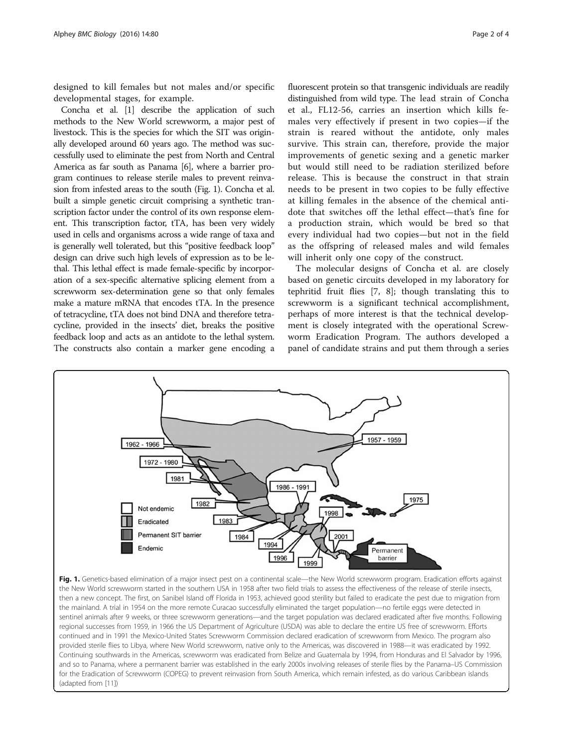designed to kill females but not males and/or specific developmental stages, for example.

Concha et al. [[1](#page-3-0)] describe the application of such methods to the New World screwworm, a major pest of livestock. This is the species for which the SIT was originally developed around 60 years ago. The method was successfully used to eliminate the pest from North and Central America as far south as Panama [[6](#page-3-0)], where a barrier program continues to release sterile males to prevent reinvasion from infested areas to the south (Fig. 1). Concha et al. built a simple genetic circuit comprising a synthetic transcription factor under the control of its own response element. This transcription factor, tTA, has been very widely used in cells and organisms across a wide range of taxa and is generally well tolerated, but this "positive feedback loop" design can drive such high levels of expression as to be lethal. This lethal effect is made female-specific by incorporation of a sex-specific alternative splicing element from a screwworm sex-determination gene so that only females make a mature mRNA that encodes tTA. In the presence of tetracycline, tTA does not bind DNA and therefore tetracycline, provided in the insects' diet, breaks the positive feedback loop and acts as an antidote to the lethal system. The constructs also contain a marker gene encoding a

fluorescent protein so that transgenic individuals are readily distinguished from wild type. The lead strain of Concha et al., FL12-56, carries an insertion which kills females very effectively if present in two copies—if the strain is reared without the antidote, only males survive. This strain can, therefore, provide the major improvements of genetic sexing and a genetic marker but would still need to be radiation sterilized before release. This is because the construct in that strain needs to be present in two copies to be fully effective at killing females in the absence of the chemical antidote that switches off the lethal effect—that's fine for a production strain, which would be bred so that every individual had two copies—but not in the field as the offspring of released males and wild females will inherit only one copy of the construct.

The molecular designs of Concha et al. are closely based on genetic circuits developed in my laboratory for tephritid fruit flies [\[7](#page-3-0), [8](#page-3-0)]; though translating this to screwworm is a significant technical accomplishment, perhaps of more interest is that the technical development is closely integrated with the operational Screwworm Eradication Program. The authors developed a panel of candidate strains and put them through a series

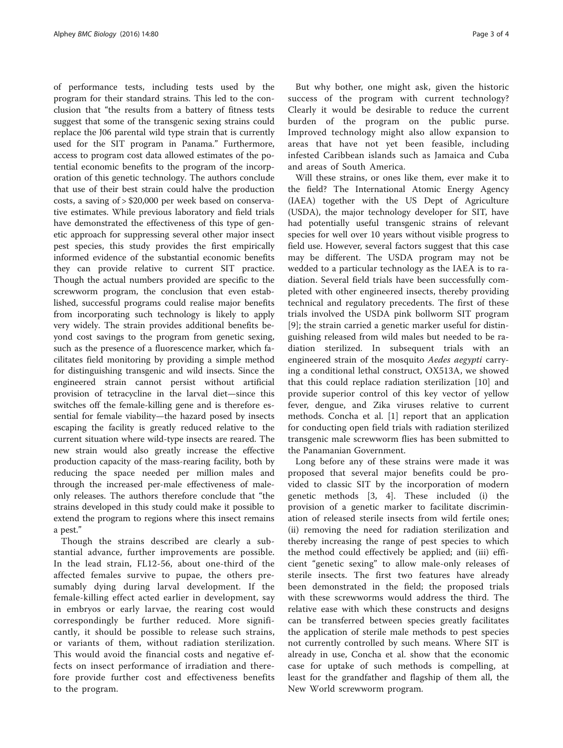of performance tests, including tests used by the program for their standard strains. This led to the conclusion that "the results from a battery of fitness tests suggest that some of the transgenic sexing strains could replace the J06 parental wild type strain that is currently used for the SIT program in Panama." Furthermore, access to program cost data allowed estimates of the potential economic benefits to the program of the incorporation of this genetic technology. The authors conclude that use of their best strain could halve the production costs, a saving of > \$20,000 per week based on conservative estimates. While previous laboratory and field trials have demonstrated the effectiveness of this type of genetic approach for suppressing several other major insect pest species, this study provides the first empirically informed evidence of the substantial economic benefits they can provide relative to current SIT practice. Though the actual numbers provided are specific to the screwworm program, the conclusion that even established, successful programs could realise major benefits from incorporating such technology is likely to apply very widely. The strain provides additional benefits beyond cost savings to the program from genetic sexing, such as the presence of a fluorescence marker, which facilitates field monitoring by providing a simple method for distinguishing transgenic and wild insects. Since the engineered strain cannot persist without artificial provision of tetracycline in the larval diet—since this switches off the female-killing gene and is therefore essential for female viability—the hazard posed by insects escaping the facility is greatly reduced relative to the current situation where wild-type insects are reared. The new strain would also greatly increase the effective production capacity of the mass-rearing facility, both by reducing the space needed per million males and through the increased per-male effectiveness of maleonly releases. The authors therefore conclude that "the strains developed in this study could make it possible to extend the program to regions where this insect remains a pest."

Though the strains described are clearly a substantial advance, further improvements are possible. In the lead strain, FL12-56, about one-third of the affected females survive to pupae, the others presumably dying during larval development. If the female-killing effect acted earlier in development, say in embryos or early larvae, the rearing cost would correspondingly be further reduced. More significantly, it should be possible to release such strains, or variants of them, without radiation sterilization. This would avoid the financial costs and negative effects on insect performance of irradiation and therefore provide further cost and effectiveness benefits to the program.

But why bother, one might ask, given the historic success of the program with current technology? Clearly it would be desirable to reduce the current burden of the program on the public purse. Improved technology might also allow expansion to areas that have not yet been feasible, including infested Caribbean islands such as Jamaica and Cuba and areas of South America.

Will these strains, or ones like them, ever make it to the field? The International Atomic Energy Agency (IAEA) together with the US Dept of Agriculture (USDA), the major technology developer for SIT, have had potentially useful transgenic strains of relevant species for well over 10 years without visible progress to field use. However, several factors suggest that this case may be different. The USDA program may not be wedded to a particular technology as the IAEA is to radiation. Several field trials have been successfully completed with other engineered insects, thereby providing technical and regulatory precedents. The first of these trials involved the USDA pink bollworm SIT program [[9\]](#page-3-0); the strain carried a genetic marker useful for distinguishing released from wild males but needed to be radiation sterilized. In subsequent trials with an engineered strain of the mosquito Aedes aegypti carrying a conditional lethal construct, OX513A, we showed that this could replace radiation sterilization [[10\]](#page-3-0) and provide superior control of this key vector of yellow fever, dengue, and Zika viruses relative to current methods. Concha et al. [[1\]](#page-3-0) report that an application for conducting open field trials with radiation sterilized transgenic male screwworm flies has been submitted to the Panamanian Government.

Long before any of these strains were made it was proposed that several major benefits could be provided to classic SIT by the incorporation of modern genetic methods [[3, 4](#page-3-0)]. These included (i) the provision of a genetic marker to facilitate discrimination of released sterile insects from wild fertile ones; (ii) removing the need for radiation sterilization and thereby increasing the range of pest species to which the method could effectively be applied; and (iii) efficient "genetic sexing" to allow male-only releases of sterile insects. The first two features have already been demonstrated in the field; the proposed trials with these screwworms would address the third. The relative ease with which these constructs and designs can be transferred between species greatly facilitates the application of sterile male methods to pest species not currently controlled by such means. Where SIT is already in use, Concha et al. show that the economic case for uptake of such methods is compelling, at least for the grandfather and flagship of them all, the New World screwworm program.